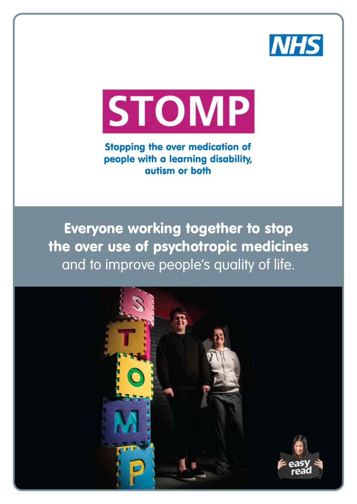



Stopping the over medication of people with a learning disability, autism or both

Everyone working together to stop the over use of psychotropic medicines and to improve people's quality of life.

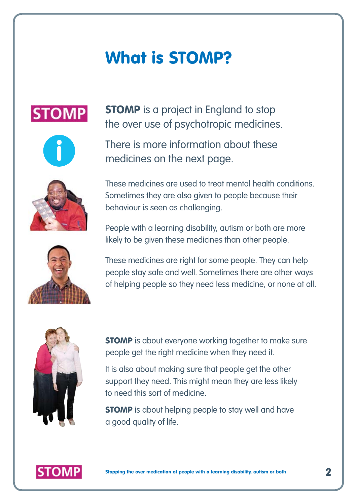### What is STOMP?







**STOMP** is a project in England to stop the over use of psychotropic medicines.

There is more information about these medicines on the next page.

These medicines are used to treat mental health conditions. Sometimes they are also given to people because their behaviour is seen as challenging.

People with a learning disability, autism or both are more likely to be given these medicines than other people.



These medicines are right for some people. They can help people stay safe and well. Sometimes there are other ways of helping people so they need less medicine, or none at all.



**STOMP** is about everyone working together to make sure people get the right medicine when they need it.

It is also about making sure that people get the other support they need. This might mean they are less likely to need this sort of medicine.

**STOMP** is about helping people to stay well and have a good quality of life.

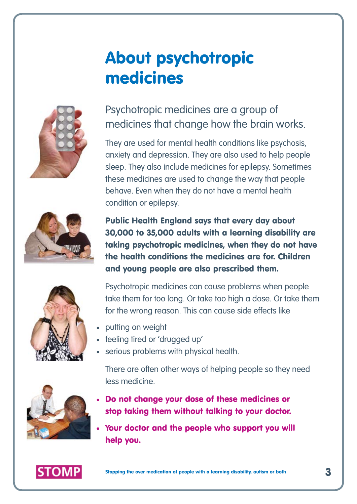### About psychotropic medicines



#### Psychotropic medicines are a group of medicines that change how the brain works.

They are used for mental health conditions like psychosis, anxiety and depression. They are also used to help people sleep. They also include medicines for epilepsy. Sometimes these medicines are used to change the way that people behave. Even when they do not have a mental health condition or epilepsy.



Public Health England says that every day about 30,000 to 35,000 adults with a learning disability are taking psychotropic medicines, when they do not have the health conditions the medicines are for. Children and young people are also prescribed them.



Psychotropic medicines can cause problems when people take them for too long. Or take too high a dose. Or take them for the wrong reason. This can cause side effects like

- putting on weight
- feeling tired or 'drugged up'
- serious problems with physical health.

There are often other ways of helping people so they need less medicine.

- Do not change your dose of these medicines or stop taking them without talking to your doctor.
- Your doctor and the people who support you will help you.



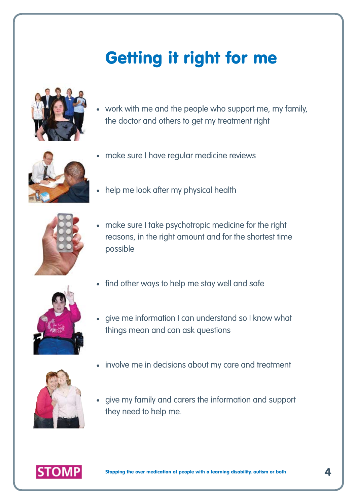# Getting it right for me



work with me and the people who support me, my family, the doctor and others to get my treatment right



- make sure I have regular medicine reviews
- help me look after my physical health



- make sure I take psychotropic medicine for the right reasons, in the right amount and for the shortest time possible
- find other ways to help me stay well and safe



give me information I can understand so I know what things mean and can ask questions



- involve me in decisions about my care and treatment
- give my family and carers the information and support  $\bullet$ they need to help me.

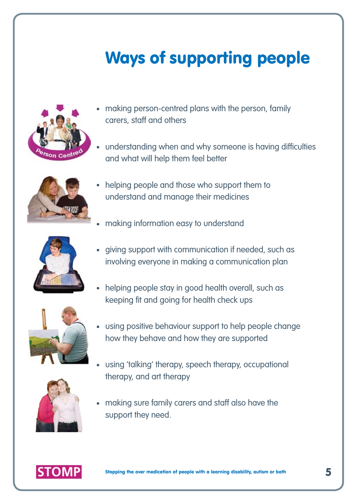## Ways of supporting people



- making person-centred plans with the person, family carers, staff and others
- understanding when and why someone is having difficulties and what will help them feel better



- helping people and those who support them to understand and manage their medicines
- making information easy to understand



- giving support with communication if needed, such as involving everyone in making a communication plan
- helping people stay in good health overall, such as keeping fit and going for health check ups



using positive behaviour support to help people change how they behave and how they are supported



- using 'talking' therapy, speech therapy, occupational therapy, and art therapy
- making sure family carers and staff also have the support they need.

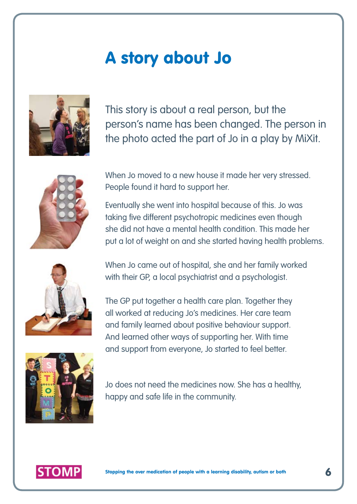#### A story about Jo



This story is about a real person, but the person's name has been changed. The person in the photo acted the part of Jo in a play by MiXit.



When Jo moved to a new house it made her very stressed. People found it hard to support her.

Eventually she went into hospital because of this. Jo was taking five different psychotropic medicines even though she did not have a mental health condition. This made her put a lot of weight on and she started having health problems.



When Jo came out of hospital, she and her family worked with their GP, a local psychiatrist and a psychologist.

The GP put together a health care plan. Together they all worked at reducing Jo's medicines. Her care team and family learned about positive behaviour support. And learned other ways of supporting her. With time and support from everyone, Jo started to feel better.



Jo does not need the medicines now. She has a healthy, happy and safe life in the community.

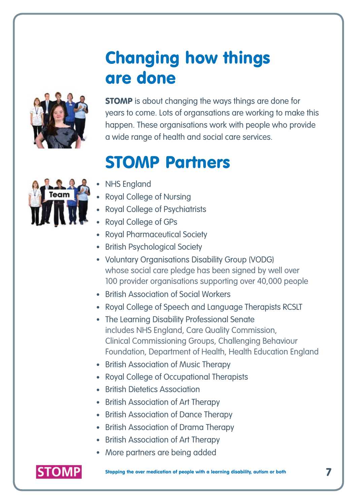### Changing how things are done



**STOMP** is about changing the ways things are done for years to come. Lots of organsations are working to make this happen. These organisations work with people who provide a wide range of health and social care services.

### STOMP Partners



- NHS England
- Royal College of Nursing
- Royal College of Psychiatrists
- Royal College of GPs
- Royal Pharmaceutical Society
- British Psychological Society
- Voluntary Organisations Disability Group (VODG) whose social care pledge has been signed by well over 100 provider organisations supporting over 40,000 people
- British Association of Social Workers
- Royal College of Speech and Language Therapists RCSLT
- The Learning Disability Professional Senate includes NHS England, Care Quality Commission, Clinical Commissioning Groups, Challenging Behaviour Foundation, Department of Health, Health Education England
- British Association of Music Therapy
- Royal College of Occupational Therapists
- **British Dietetics Association**
- British Association of Art Therapy
- British Association of Dance Therapy
- British Association of Drama Therapy
- British Association of Art Therapy
- More partners are being added



Stopping the over medication of people with a learning disability, autism or both